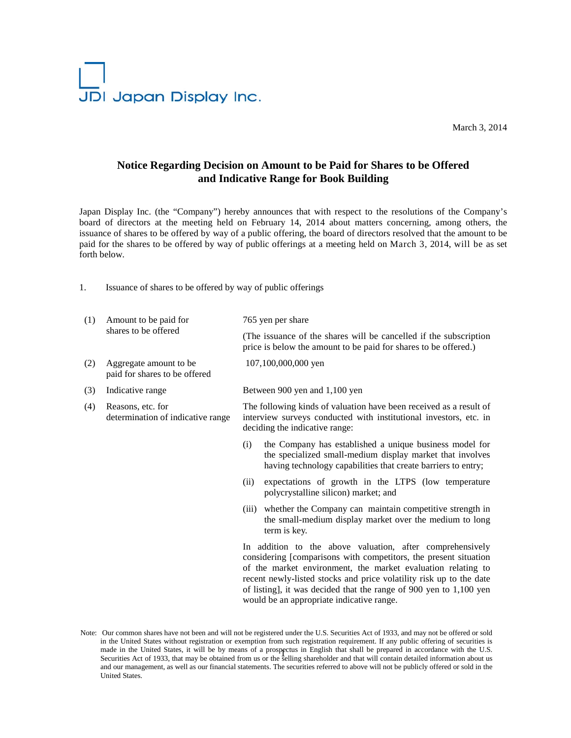

March 3, 2014

## **Notice Regarding Decision on Amount to be Paid for Shares to be Offered and Indicative Range for Book Building**

Japan Display Inc. (the "Company") hereby announces that with respect to the resolutions of the Company's board of directors at the meeting held on February 14, 2014 about matters concerning, among others, the issuance of shares to be offered by way of a public offering, the board of directors resolved that the amount to be paid for the shares to be offered by way of public offerings at a meeting held on March 3, 2014, will be as set forth below.

1. Issuance of shares to be offered by way of public offerings

| (1) | Amount to be paid for<br>shares to be offered           |                                                                                                                                                                           | 765 yen per share                                                                                                                                                                                                                                                                                                                          |  |
|-----|---------------------------------------------------------|---------------------------------------------------------------------------------------------------------------------------------------------------------------------------|--------------------------------------------------------------------------------------------------------------------------------------------------------------------------------------------------------------------------------------------------------------------------------------------------------------------------------------------|--|
|     |                                                         |                                                                                                                                                                           | (The issuance of the shares will be cancelled if the subscription<br>price is below the amount to be paid for shares to be offered.)                                                                                                                                                                                                       |  |
| (2) | Aggregate amount to be<br>paid for shares to be offered |                                                                                                                                                                           | 107,100,000,000 yen                                                                                                                                                                                                                                                                                                                        |  |
| (3) | Indicative range                                        |                                                                                                                                                                           | Between 900 yen and 1,100 yen                                                                                                                                                                                                                                                                                                              |  |
| (4) | Reasons, etc. for<br>determination of indicative range  | The following kinds of valuation have been received as a result of<br>interview surveys conducted with institutional investors, etc. in<br>deciding the indicative range: |                                                                                                                                                                                                                                                                                                                                            |  |
|     |                                                         | (i)                                                                                                                                                                       | the Company has established a unique business model for<br>the specialized small-medium display market that involves<br>having technology capabilities that create barriers to entry;                                                                                                                                                      |  |
|     |                                                         | (ii)                                                                                                                                                                      | expectations of growth in the LTPS (low temperature<br>polycrystalline silicon) market; and                                                                                                                                                                                                                                                |  |
|     |                                                         |                                                                                                                                                                           | (iii) whether the Company can maintain competitive strength in<br>the small-medium display market over the medium to long<br>term is key.                                                                                                                                                                                                  |  |
|     |                                                         |                                                                                                                                                                           | In addition to the above valuation, after comprehensively<br>considering [comparisons with competitors, the present situation<br>of the market environment, the market evaluation relating to<br>recent newly-listed stocks and price volatility risk up to the date<br>of listing], it was decided that the range of 900 yen to 1,100 yen |  |

Note: Our common shares have not been and will not be registered under the U.S. Securities Act of 1933, and may not be offered or sold in the United States without registration or exemption from such registration requirement. If any public offering of securities is made in the United States, it will be by means of a prospectus in English that shall be prepared in accordance with the U.S.<br>Sequences Act of 1932, that may be obtained from us on the selling shareholder and that will cont Securities Act of 1933, that may be obtained from us or the selling shareholder and that will contain detailed information about us and our management, as well as our financial statements. The securities referred to above will not be publicly offered or sold in the United States.

would be an appropriate indicative range.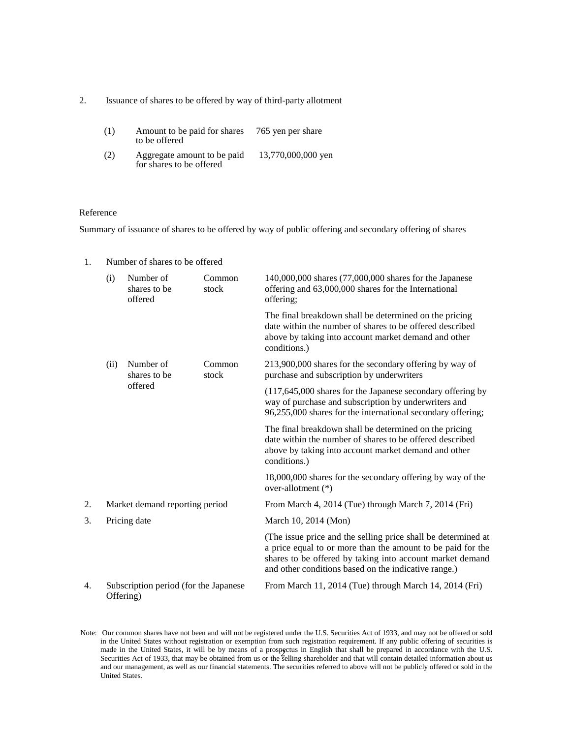2. Issuance of shares to be offered by way of third-party allotment

| (1) | Amount to be paid for shares<br>to be offered           | 765 yen per share  |
|-----|---------------------------------------------------------|--------------------|
| (2) | Aggregate amount to be paid<br>for shares to be offered | 13,770,000,000 yen |

## Reference

Summary of issuance of shares to be offered by way of public offering and secondary offering of shares

| 1. |                                                    | Number of shares to be offered       |                 |                                                                                                                                                                                                                                                   |  |
|----|----------------------------------------------------|--------------------------------------|-----------------|---------------------------------------------------------------------------------------------------------------------------------------------------------------------------------------------------------------------------------------------------|--|
|    | (i)                                                | Number of<br>shares to be<br>offered | Common<br>stock | 140,000,000 shares (77,000,000 shares for the Japanese<br>offering and 63,000,000 shares for the International<br>offering;                                                                                                                       |  |
|    |                                                    |                                      |                 | The final breakdown shall be determined on the pricing<br>date within the number of shares to be offered described<br>above by taking into account market demand and other<br>conditions.)                                                        |  |
|    | (ii)                                               | Number of<br>shares to be<br>offered | Common<br>stock | 213,900,000 shares for the secondary offering by way of<br>purchase and subscription by underwriters                                                                                                                                              |  |
|    |                                                    |                                      |                 | $(117,645,000$ shares for the Japanese secondary offering by<br>way of purchase and subscription by underwriters and<br>96,255,000 shares for the international secondary offering;                                                               |  |
|    |                                                    |                                      |                 | The final breakdown shall be determined on the pricing<br>date within the number of shares to be offered described<br>above by taking into account market demand and other<br>conditions.)                                                        |  |
|    |                                                    |                                      |                 | 18,000,000 shares for the secondary offering by way of the<br>over-allotment $(*)$                                                                                                                                                                |  |
| 2. | Market demand reporting period                     |                                      |                 | From March 4, 2014 (Tue) through March 7, 2014 (Fri)                                                                                                                                                                                              |  |
| 3. | Pricing date                                       |                                      |                 | March 10, 2014 (Mon)                                                                                                                                                                                                                              |  |
|    |                                                    |                                      |                 | (The issue price and the selling price shall be determined at<br>a price equal to or more than the amount to be paid for the<br>shares to be offered by taking into account market demand<br>and other conditions based on the indicative range.) |  |
| 4. | Subscription period (for the Japanese<br>Offering) |                                      |                 | From March 11, 2014 (Tue) through March 14, 2014 (Fri)                                                                                                                                                                                            |  |
|    |                                                    |                                      |                 |                                                                                                                                                                                                                                                   |  |

Note: Our common shares have not been and will not be registered under the U.S. Securities Act of 1933, and may not be offered or sold in the United States without registration or exemption from such registration requirement. If any public offering of securities is made in the United States, it will be by means of a prospectus in English that shall be prepared in accordance with the U.S. made in the United States, it will be by means of a prospectus in English that shall be prepared in accordance with the U.S.<br>Securities Act of 1933, that may be obtained from us or the selling shareholder and that will con and our management, as well as our financial statements. The securities referred to above will not be publicly offered or sold in the United States.